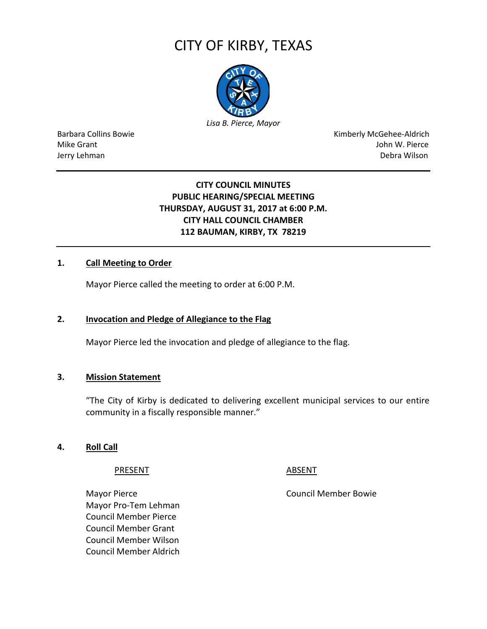# CITY OF KIRBY, TEXAS



Barbara Collins Bowie **Kimberly McGehee-Aldrich** Mike Grant John W. Pierce Jerry Lehman Debra Wilson (2008) and the state of the state of the state of the state of the state of the state of the state of the state of the state of the state of the state of the state of the state of the state of the

# **CITY COUNCIL MINUTES PUBLIC HEARING/SPECIAL MEETING THURSDAY, AUGUST 31, 2017 at 6:00 P.M. CITY HALL COUNCIL CHAMBER 112 BAUMAN, KIRBY, TX 78219**

# **1. Call Meeting to Order**

Mayor Pierce called the meeting to order at 6:00 P.M.

# **2. Invocation and Pledge of Allegiance to the Flag**

Mayor Pierce led the invocation and pledge of allegiance to the flag.

# **3. Mission Statement**

"The City of Kirby is dedicated to delivering excellent municipal services to our entire community in a fiscally responsible manner."

#### **4. Roll Call**

PRESENT ABSENT

Mayor Pierce **Council Member Bowie** Council Member Bowie Mayor Pro-Tem Lehman Council Member Pierce Council Member Grant Council Member Wilson Council Member Aldrich